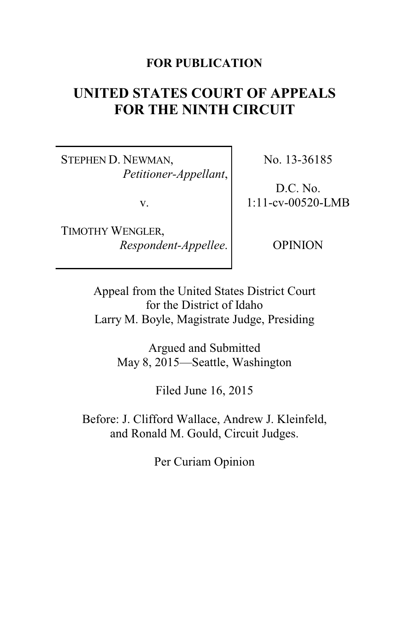### **FOR PUBLICATION**

# **UNITED STATES COURT OF APPEALS FOR THE NINTH CIRCUIT**

STEPHEN D. NEWMAN, *Petitioner-Appellant*,

v.

TIMOTHY WENGLER, *Respondent-Appellee*. No. 13-36185

D.C. No. 1:11-cv-00520-LMB

OPINION

Appeal from the United States District Court for the District of Idaho Larry M. Boyle, Magistrate Judge, Presiding

> Argued and Submitted May 8, 2015—Seattle, Washington

> > Filed June 16, 2015

Before: J. Clifford Wallace, Andrew J. Kleinfeld, and Ronald M. Gould, Circuit Judges.

Per Curiam Opinion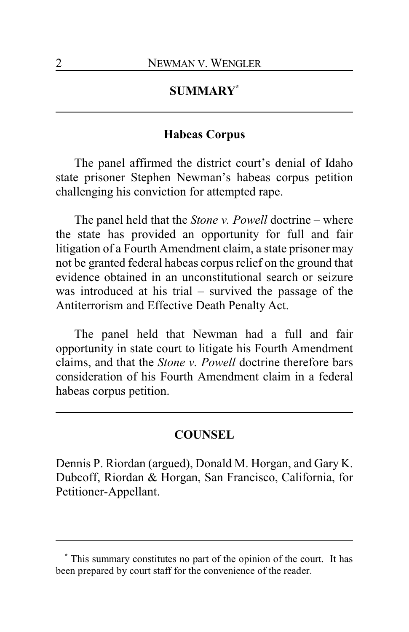## **SUMMARY\***

#### **Habeas Corpus**

The panel affirmed the district court's denial of Idaho state prisoner Stephen Newman's habeas corpus petition challenging his conviction for attempted rape.

The panel held that the *Stone v. Powell* doctrine – where the state has provided an opportunity for full and fair litigation of a Fourth Amendment claim, a state prisoner may not be granted federal habeas corpus relief on the ground that evidence obtained in an unconstitutional search or seizure was introduced at his trial – survived the passage of the Antiterrorism and Effective Death Penalty Act.

The panel held that Newman had a full and fair opportunity in state court to litigate his Fourth Amendment claims, and that the *Stone v. Powell* doctrine therefore bars consideration of his Fourth Amendment claim in a federal habeas corpus petition.

#### **COUNSEL**

Dennis P. Riordan (argued), Donald M. Horgan, and Gary K. Dubcoff, Riordan & Horgan, San Francisco, California, for Petitioner-Appellant.

**<sup>\*</sup>** This summary constitutes no part of the opinion of the court. It has been prepared by court staff for the convenience of the reader.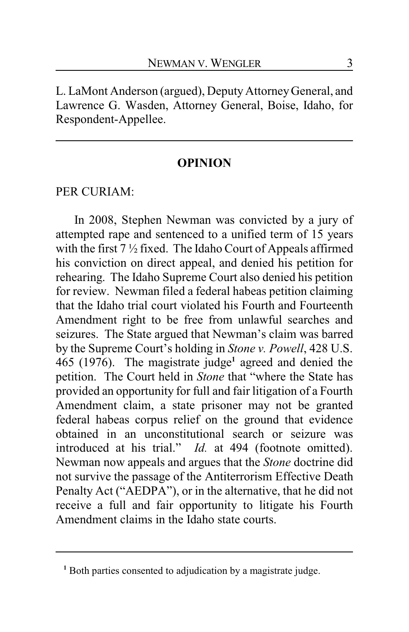L. LaMont Anderson (argued), Deputy AttorneyGeneral, and Lawrence G. Wasden, Attorney General, Boise, Idaho, for Respondent-Appellee.

#### **OPINION**

#### PER CURIAM:

In 2008, Stephen Newman was convicted by a jury of attempted rape and sentenced to a unified term of 15 years with the first 7 ½ fixed. The Idaho Court of Appeals affirmed his conviction on direct appeal, and denied his petition for rehearing. The Idaho Supreme Court also denied his petition for review. Newman filed a federal habeas petition claiming that the Idaho trial court violated his Fourth and Fourteenth Amendment right to be free from unlawful searches and seizures. The State argued that Newman's claim was barred by the Supreme Court's holding in *Stone v. Powell*, 428 U.S. 465 (1976). The magistrate judge **1** agreed and denied the petition. The Court held in *Stone* that "where the State has provided an opportunity for full and fair litigation of a Fourth Amendment claim, a state prisoner may not be granted federal habeas corpus relief on the ground that evidence obtained in an unconstitutional search or seizure was introduced at his trial." *Id.* at 494 (footnote omitted). Newman now appeals and argues that the *Stone* doctrine did not survive the passage of the Antiterrorism Effective Death Penalty Act ("AEDPA"), or in the alternative, that he did not receive a full and fair opportunity to litigate his Fourth Amendment claims in the Idaho state courts.

<sup>&</sup>lt;sup>1</sup> Both parties consented to adjudication by a magistrate judge.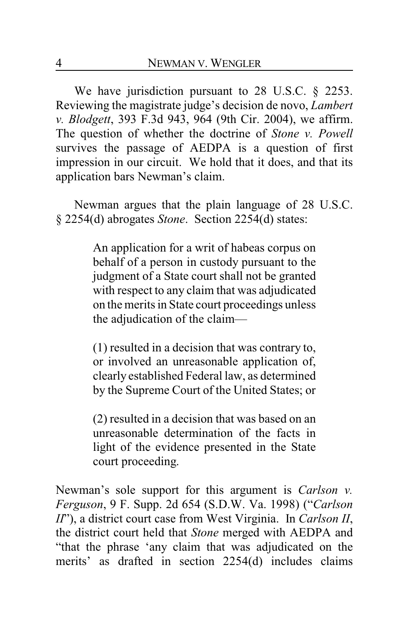We have jurisdiction pursuant to 28 U.S.C. § 2253. Reviewing the magistrate judge's decision de novo, *Lambert v. Blodgett*, 393 F.3d 943, 964 (9th Cir. 2004), we affirm. The question of whether the doctrine of *Stone v. Powell* survives the passage of AEDPA is a question of first impression in our circuit. We hold that it does, and that its application bars Newman's claim.

Newman argues that the plain language of 28 U.S.C. § 2254(d) abrogates *Stone*. Section 2254(d) states:

> An application for a writ of habeas corpus on behalf of a person in custody pursuant to the judgment of a State court shall not be granted with respect to any claim that was adjudicated on the merits in State court proceedings unless the adjudication of the claim—

> (1) resulted in a decision that was contrary to, or involved an unreasonable application of, clearly established Federal law, as determined by the Supreme Court of the United States; or

> (2) resulted in a decision that was based on an unreasonable determination of the facts in light of the evidence presented in the State court proceeding.

Newman's sole support for this argument is *Carlson v. Ferguson*, 9 F. Supp. 2d 654 (S.D.W. Va. 1998) ("*Carlson II*"), a district court case from West Virginia. In *Carlson II*, the district court held that *Stone* merged with AEDPA and "that the phrase 'any claim that was adjudicated on the merits' as drafted in section 2254(d) includes claims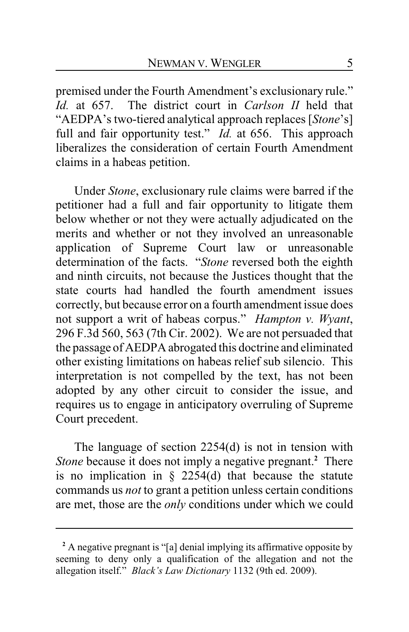premised under the Fourth Amendment's exclusionary rule." *Id.* at 657. The district court in *Carlson II* held that "AEDPA's two-tiered analytical approach replaces [*Stone*'s] full and fair opportunity test." *Id.* at 656. This approach liberalizes the consideration of certain Fourth Amendment claims in a habeas petition.

Under *Stone*, exclusionary rule claims were barred if the petitioner had a full and fair opportunity to litigate them below whether or not they were actually adjudicated on the merits and whether or not they involved an unreasonable application of Supreme Court law or unreasonable determination of the facts. "*Stone* reversed both the eighth and ninth circuits, not because the Justices thought that the state courts had handled the fourth amendment issues correctly, but because error on a fourth amendment issue does not support a writ of habeas corpus." *Hampton v. Wyant*, 296 F.3d 560, 563 (7th Cir. 2002). We are not persuaded that the passage of AEDPA abrogated this doctrine and eliminated other existing limitations on habeas relief sub silencio. This interpretation is not compelled by the text, has not been adopted by any other circuit to consider the issue, and requires us to engage in anticipatory overruling of Supreme Court precedent.

The language of section 2254(d) is not in tension with *Stone* because it does not imply a negative pregnant.**<sup>2</sup>** There is no implication in  $\S$  2254(d) that because the statute commands us *not* to grant a petition unless certain conditions are met, those are the *only* conditions under which we could

**<sup>2</sup>** A negative pregnant is "[a] denial implying its affirmative opposite by seeming to deny only a qualification of the allegation and not the allegation itself." *Black's Law Dictionary* 1132 (9th ed. 2009).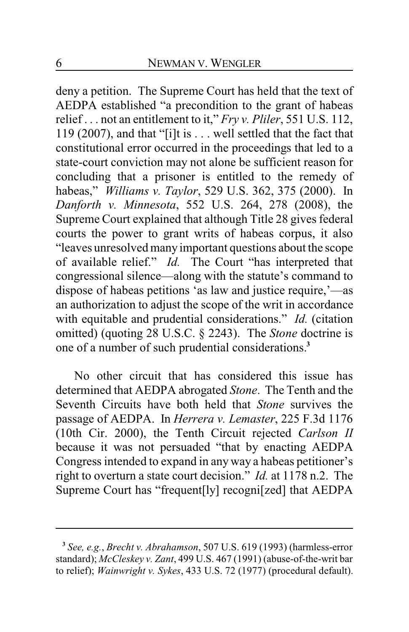deny a petition. The Supreme Court has held that the text of AEDPA established "a precondition to the grant of habeas relief . . . not an entitlement to it," *Fry v. Pliler*, 551 U.S. 112, 119 (2007), and that "[i]t is . . . well settled that the fact that constitutional error occurred in the proceedings that led to a state-court conviction may not alone be sufficient reason for concluding that a prisoner is entitled to the remedy of habeas," *Williams v. Taylor*, 529 U.S. 362, 375 (2000). In *Danforth v. Minnesota*, 552 U.S. 264, 278 (2008), the Supreme Court explained that although Title 28 gives federal courts the power to grant writs of habeas corpus, it also "leaves unresolved many important questions about the scope of available relief." *Id.* The Court "has interpreted that congressional silence—along with the statute's command to dispose of habeas petitions 'as law and justice require,'—as an authorization to adjust the scope of the writ in accordance with equitable and prudential considerations." *Id.* (citation omitted) (quoting 28 U.S.C. § 2243). The *Stone* doctrine is one of a number of such prudential considerations.**<sup>3</sup>**

No other circuit that has considered this issue has determined that AEDPA abrogated *Stone*. The Tenth and the Seventh Circuits have both held that *Stone* survives the passage of AEDPA. In *Herrera v. Lemaster*, 225 F.3d 1176 (10th Cir. 2000), the Tenth Circuit rejected *Carlson II* because it was not persuaded "that by enacting AEDPA Congress intended to expand in any way a habeas petitioner's right to overturn a state court decision." *Id.* at 1178 n.2. The Supreme Court has "frequent[ly] recogni[zed] that AEDPA

**<sup>3</sup>** *See, e.g.*, *Brecht v. Abrahamson*, 507 U.S. 619 (1993) (harmless-error standard); *McCleskey v. Zant*, 499 U.S. 467 (1991) (abuse-of-the-writ bar to relief); *Wainwright v. Sykes*, 433 U.S. 72 (1977) (procedural default).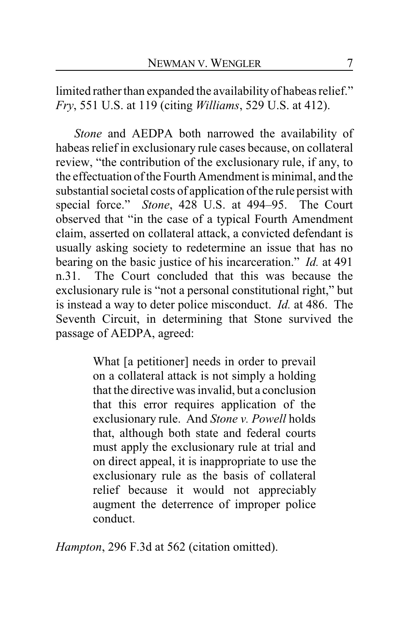limited rather than expanded the availability of habeas relief." *Fry*, 551 U.S. at 119 (citing *Williams*, 529 U.S. at 412).

*Stone* and AEDPA both narrowed the availability of habeas relief in exclusionary rule cases because, on collateral review, "the contribution of the exclusionary rule, if any, to the effectuation of the Fourth Amendment is minimal, and the substantial societal costs of application ofthe rule persist with special force." *Stone*, 428 U.S. at 494–95. The Court observed that "in the case of a typical Fourth Amendment claim, asserted on collateral attack, a convicted defendant is usually asking society to redetermine an issue that has no bearing on the basic justice of his incarceration." *Id.* at 491 n.31. The Court concluded that this was because the exclusionary rule is "not a personal constitutional right," but is instead a way to deter police misconduct. *Id.* at 486. The Seventh Circuit, in determining that Stone survived the passage of AEDPA, agreed:

> What [a petitioner] needs in order to prevail on a collateral attack is not simply a holding that the directive was invalid, but a conclusion that this error requires application of the exclusionary rule. And *Stone v. Powell* holds that, although both state and federal courts must apply the exclusionary rule at trial and on direct appeal, it is inappropriate to use the exclusionary rule as the basis of collateral relief because it would not appreciably augment the deterrence of improper police conduct.

*Hampton*, 296 F.3d at 562 (citation omitted).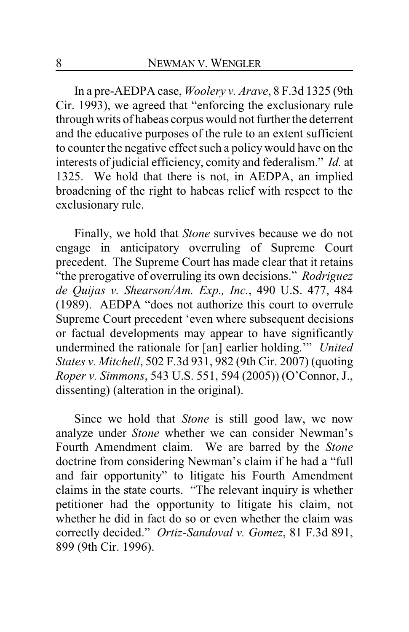In a pre-AEDPA case, *Woolery v. Arave*, 8 F.3d 1325 (9th Cir. 1993), we agreed that "enforcing the exclusionary rule through writs of habeas corpus would not further the deterrent and the educative purposes of the rule to an extent sufficient to counter the negative effect such a policy would have on the interests of judicial efficiency, comity and federalism." *Id.* at 1325. We hold that there is not, in AEDPA, an implied broadening of the right to habeas relief with respect to the exclusionary rule.

Finally, we hold that *Stone* survives because we do not engage in anticipatory overruling of Supreme Court precedent. The Supreme Court has made clear that it retains "the prerogative of overruling its own decisions." *Rodriguez de Quijas v. Shearson/Am. Exp., Inc.*, 490 U.S. 477, 484 (1989). AEDPA "does not authorize this court to overrule Supreme Court precedent 'even where subsequent decisions or factual developments may appear to have significantly undermined the rationale for [an] earlier holding.'" *United States v. Mitchell*, 502 F.3d 931, 982 (9th Cir. 2007) (quoting *Roper v. Simmons*, 543 U.S. 551, 594 (2005)) (O'Connor, J., dissenting) (alteration in the original).

Since we hold that *Stone* is still good law, we now analyze under *Stone* whether we can consider Newman's Fourth Amendment claim. We are barred by the *Stone* doctrine from considering Newman's claim if he had a "full and fair opportunity" to litigate his Fourth Amendment claims in the state courts. "The relevant inquiry is whether petitioner had the opportunity to litigate his claim, not whether he did in fact do so or even whether the claim was correctly decided." *Ortiz-Sandoval v. Gomez*, 81 F.3d 891, 899 (9th Cir. 1996).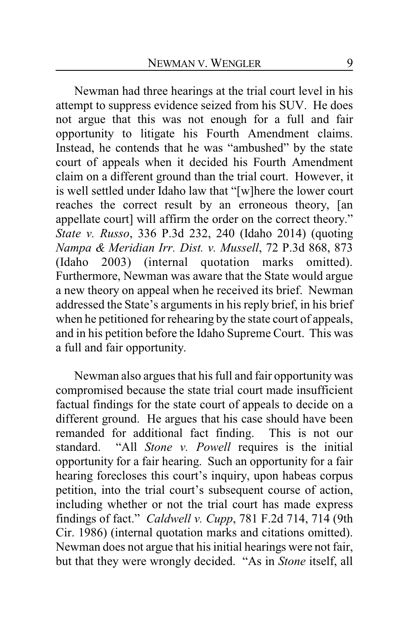Newman had three hearings at the trial court level in his attempt to suppress evidence seized from his SUV. He does not argue that this was not enough for a full and fair opportunity to litigate his Fourth Amendment claims. Instead, he contends that he was "ambushed" by the state court of appeals when it decided his Fourth Amendment claim on a different ground than the trial court. However, it is well settled under Idaho law that "[w]here the lower court reaches the correct result by an erroneous theory, [an appellate court] will affirm the order on the correct theory." *State v. Russo*, 336 P.3d 232, 240 (Idaho 2014) (quoting *Nampa & Meridian Irr. Dist. v. Mussell*, 72 P.3d 868, 873 (Idaho 2003) (internal quotation marks omitted). Furthermore, Newman was aware that the State would argue a new theory on appeal when he received its brief. Newman addressed the State's arguments in his reply brief, in his brief when he petitioned for rehearing by the state court of appeals, and in his petition before the Idaho Supreme Court. This was a full and fair opportunity.

Newman also argues that his full and fair opportunity was compromised because the state trial court made insufficient factual findings for the state court of appeals to decide on a different ground. He argues that his case should have been remanded for additional fact finding. This is not our standard. "All *Stone v. Powell* requires is the initial opportunity for a fair hearing. Such an opportunity for a fair hearing forecloses this court's inquiry, upon habeas corpus petition, into the trial court's subsequent course of action, including whether or not the trial court has made express findings of fact." *Caldwell v. Cupp*, 781 F.2d 714, 714 (9th Cir. 1986) (internal quotation marks and citations omitted). Newman does not argue that his initial hearings were not fair, but that they were wrongly decided. "As in *Stone* itself, all